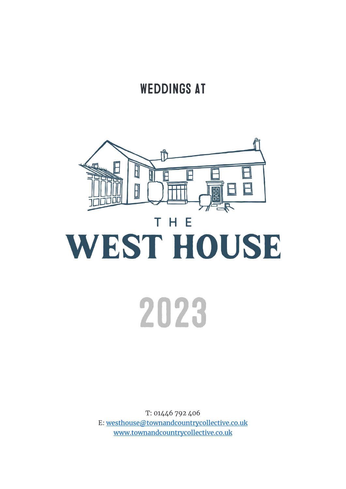# **WEDDINGS AT**



T: 01446 792 406 E: [westhouse@townandcountrycollective.co.uk](mailto:westhouse@townandcountrycollective.co.uk) [www.townandcountrycollective.co.uk](http://www.townandcountrycollective.co.uk/)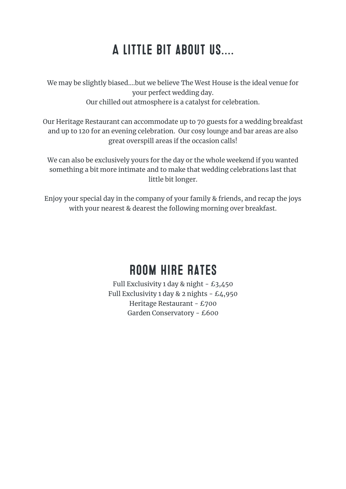# **A LITTLE BIT ABOUT US....**

We may be slightly biased….but we believe The West House is the ideal venue for your perfect wedding day. Our chilled out atmosphere is a catalyst for celebration.

Our Heritage Restaurant can accommodate up to 70 guests for a wedding breakfast and up to 120 for an evening celebration. Our cosy lounge and bar areas are also great overspill areas if the occasion calls!

We can also be exclusively yours for the day or the whole weekend if you wanted something a bit more intimate and to make that wedding celebrations last that little bit longer.

Enjoy your special day in the company of your family & friends, and recap the joys with your nearest & dearest the following morning over breakfast.

# **ROOM HIRE RATES**

Full Exclusivity 1 day & night - £3,450 Full Exclusivity 1 day & 2 nights  $-$  £4,950 Heritage Restaurant - £700 Garden Conservatory - £600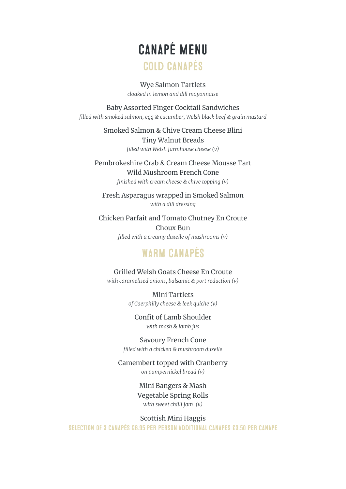# **CANAPÉ MENU COLD CANAPÉS**

Wye Salmon Tartlets

*cloaked in lemon and dill mayonnaise* 

#### Baby Assorted Finger Cocktail Sandwiches

*filled with smoked salmon, egg & cucumber, Welsh black beef & grain mustard*

Smoked Salmon & Chive Cream Cheese Blini Tiny Walnut Breads *filled with Welsh farmhouse cheese (v)*

Pembrokeshire Crab & Cream Cheese Mousse Tart Wild Mushroom French Cone *finished with cream cheese & chive topping (v)*

Fresh Asparagus wrapped in Smoked Salmon *with a dill dressing* 

Chicken Parfait and Tomato Chutney En Croute Choux Bun *filled with a creamy duxelle of mushrooms (v)*

#### **WARM CANAPÉS**

Grilled Welsh Goats Cheese En Croute *with caramelised onions, balsamic & port reduction (v)* 

> Mini Tartlets *of Caerphilly cheese & leek quiche (v)*

Confit of Lamb Shoulder *with mash & lamb jus* 

Savoury French Cone *filled with a chicken & mushroom duxelle* 

Camembert topped with Cranberry *on pumpernickel bread (v)* 

> Mini Bangers & Mash Vegetable Spring Rolls *with sweet chilli jam (v)*

Scottish Mini Haggis

**SELECTION OF 3 CANAPÉS 26.95 PER PERSON ADDITIONAL CANAPES 23.50 PER CANAPE**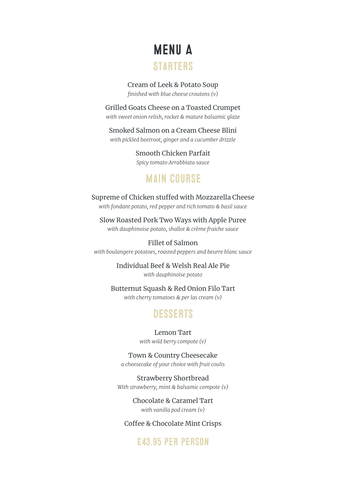# **MENU A STARTERS**

Cream of Leek & Potato Soup *finished with blue cheese croutons (v)*

Grilled Goats Cheese on a Toasted Crumpet *with sweet onion relish, rocket & mature balsamic glaze* 

Smoked Salmon on a Cream Cheese Blini *with pickled beetroot, ginger and a cucumber drizzle* 

> Smooth Chicken Parfait *Spicy tomato Arrabbiata sauce*

## **MAIN COURSE**

Supreme of Chicken stuffed with Mozzarella Cheese *with fondant potato, red pepper and rich tomato & basil sauce*

Slow Roasted Pork Two Ways with Apple Puree *with dauphinoise potato, shallot & crème fraiche sauce* 

Fillet of Salmon *with boulangere potatoes, roasted peppers and beurre blanc sauce* 

> Individual Beef & Welsh Real Ale Pie *with dauphinoise potato*

Butternut Squash & Red Onion Filo Tart *with cherry tomatoes & per las cream (v)* 

#### **DESSERTS**

Lemon Tart *with wild berry compote (v)* 

Town & Country Cheesecake *a cheesecake of your choice with fruit coulis* 

Strawberry Shortbread *With strawberry, mint & balsamic compote (v)* 

> Chocolate & Caramel Tart *with vanilla pod cream (v)*

#### Coffee & Chocolate Mint Crisps

#### **£43 95 PFR PFRSON**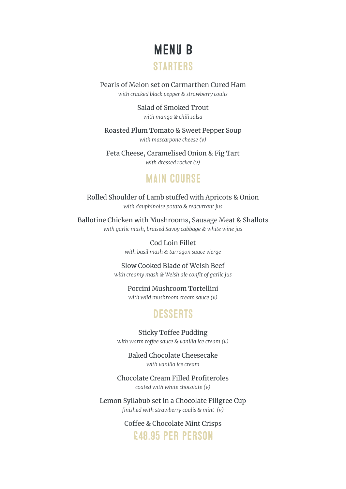# **MENU B**

#### **STARTERS**

Pearls of Melon set on Carmarthen Cured Ham *with cracked black pepper & strawberry coulis* 

> Salad of Smoked Trout *with mango & chili salsa*

Roasted Plum Tomato & Sweet Pepper Soup *with mascarpone cheese (v)*

Feta Cheese, Caramelised Onion & Fig Tart *with dressed rocket (v)* 

#### **MAIN COURSE**

Rolled Shoulder of Lamb stuffed with Apricots & Onion *with dauphinoise potato & redcurrant jus*

Ballotine Chicken with Mushrooms, Sausage Meat & Shallots *with garlic mash, braised Savoy cabbage & white wine jus*

> Cod Loin Fillet *with basil mash & tarragon sauce vierge*

Slow Cooked Blade of Welsh Beef *with creamy mash & Welsh ale confit of garlic jus* 

> Porcini Mushroom Tortellini *with wild mushroom cream sauce (v)*

#### **DESSERTS**

Sticky Toffee Pudding *with warm toffee sauce & vanilla ice cream (v)* 

Baked Chocolate Cheesecake *with vanilla ice cream*

Chocolate Cream Filled Profiteroles *coated with white chocolate (v)* 

Lemon Syllabub set in a Chocolate Filigree Cup *finished with strawberry coulis & mint (v)* 

> Coffee & Chocolate Mint Crisps **F48 95 PFR PFRSON**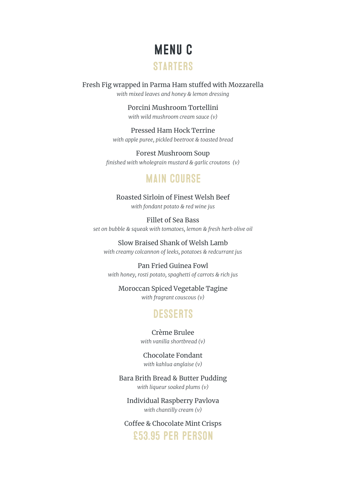# **MENUC STARTERS**

Fresh Fig wrapped in Parma Ham stuffed with Mozzarella *with mixed leaves and honey & lemon dressing* 

> Porcini Mushroom Tortellini *with wild mushroom cream sauce (v)*

Pressed Ham Hock Terrine *with apple puree, pickled beetroot & toasted bread*

Forest Mushroom Soup *finished with wholegrain mustard & garlic croutons (v)* 

#### **MAIN COURSE**

Roasted Sirloin of Finest Welsh Beef *with fondant potato & red wine jus*

Fillet of Sea Bass *set on bubble & squeak with tomatoes, lemon & fresh herb olive oil* 

Slow Braised Shank of Welsh Lamb *with creamy colcannon of leeks, potatoes & redcurrant jus* 

Pan Fried Guinea Fowl *with honey, rosti potato, spaghetti of carrots & rich jus*

Moroccan Spiced Vegetable Tagine

*with fragrant couscous (v)* 

## **DESSERTS**

Crème Brulee *with vanilla shortbread (v)* 

Chocolate Fondant *with kahlua anglaise (v)*

Bara Brith Bread & Butter Pudding *with liqueur soaked plums (v)* 

Individual Raspberry Pavlova *with chantilly cream (v)* 

Coffee & Chocolate Mint Crisps £53 95 PFR PFRSON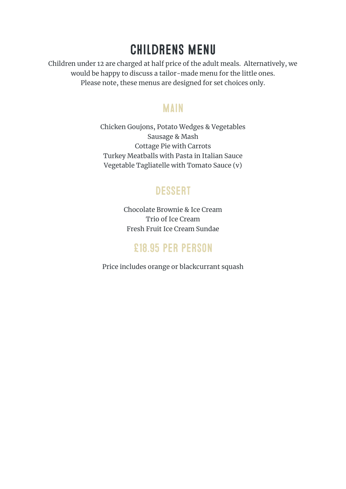# **CHILDRENS MENU**

Children under 12 are charged at half price of the adult meals. Alternatively, we would be happy to discuss a tailor-made menu for the little ones. Please note, these menus are designed for set choices only.

#### **MAIN**

Chicken Goujons, Potato Wedges & Vegetables Sausage & Mash Cottage Pie with Carrots Turkey Meatballs with Pasta in Italian Sauce Vegetable Tagliatelle with Tomato Sauce (v)

## **DESSERT**

Chocolate Brownie & Ice Cream Trio of Ice Cream Fresh Fruit Ice Cream Sundae

## £18.95 PER PERSON

Price includes orange or blackcurrant squash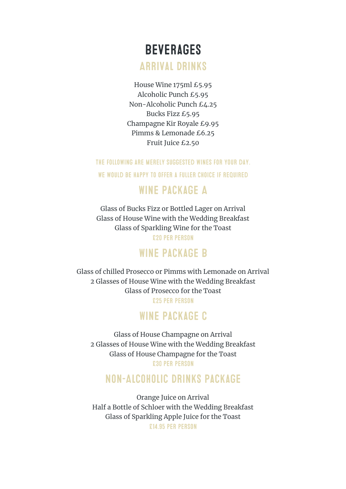# **BEVERAGES**

**ARRIVAL DRINKS** 

House Wine 175ml £5.95 Alcoholic Punch £5.95 Non-Alcoholic Punch £4.25 Bucks Fizz £5.95 Champagne Kir Royale £9.95 Pimms & Lemonade £6.25 Fruit Juice £2.50

THE FOLLOWING ARE MERELY SUGGESTED WINES FOR YOUR DAY.

WE WOULD BE HAPPY TO OFFER A FULLER CHOICE IF REQUIRED

## **WINE PACKAGE A**

Glass of Bucks Fizz or Bottled Lager on Arrival Glass of House Wine with the Wedding Breakfast Glass of Sparkling Wine for the Toast **£20 PER PERSON** 

#### **WINE PACKAGE B**

Glass of chilled Prosecco or Pimms with Lemonade on Arrival 2 Glasses of House Wine with the Wedding Breakfast Glass of Prosecco for the Toast £25 PER PERSON

#### **WINE PACKAGE C**

Glass of House Champagne on Arrival 2 Glasses of House Wine with the Wedding Breakfast Glass of House Champagne for the Toast **£30 PER PERSON** 

#### **NON-ALCOHOLIC DRINKS PACKAGE**

Orange Juice on Arrival Half a Bottle of Schloer with the Wedding Breakfast Glass of Sparkling Apple Juice for the Toast£14.95 PER PERSON